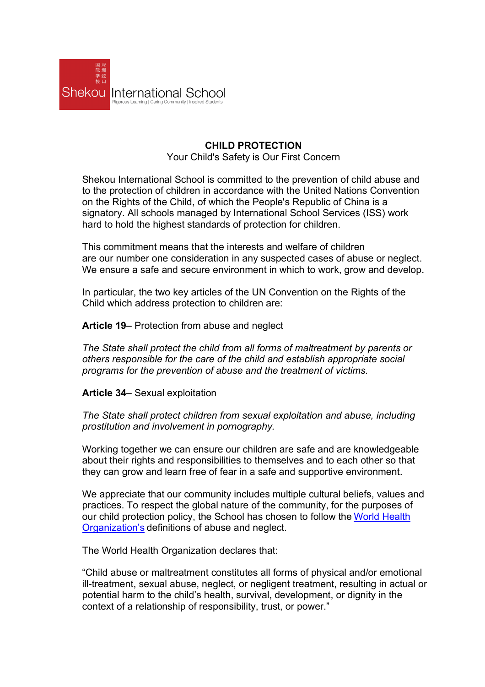

## **CHILD PROTECTION** Your Child's Safety is Our First Concern

Shekou International School is committed to the prevention of child abuse and to the protection of children in accordance with the United Nations Convention on the Rights of the Child, of which the People's Republic of China is a signatory. All schools managed by International School Services (ISS) work hard to hold the highest standards of protection for children.

This commitment means that the interests and welfare of children are our number one consideration in any suspected cases of abuse or neglect. We ensure a safe and secure environment in which to work, grow and develop.

In particular, the two key articles of the UN Convention on the Rights of the Child which address protection to children are:

**Article 19**– Protection from abuse and neglect

*The State shall protect the child from all forms of maltreatment by parents or others responsible for the care of the child and establish appropriate social programs for the prevention of abuse and the treatment of victims.*

**Article 34**– Sexual exploitation

*The State shall protect children from sexual exploitation and abuse, including prostitution and involvement in pornography.*

Working together we can ensure our children are safe and are knowledgeable about their rights and responsibilities to themselves and to each other so that they can grow and learn free of fear in a safe and supportive environment.

We appreciate that our community includes multiple cultural beliefs, values and practices. To respect the global nature of the community, for the purposes of our child protection policy, the School has chosen to follow the World Health Organization's definitions of abuse and neglect.

The World Health Organization declares that:

"Child abuse or maltreatment constitutes all forms of physical and/or emotional ill-treatment, sexual abuse, neglect, or negligent treatment, resulting in actual or potential harm to the child's health, survival, development, or dignity in the context of a relationship of responsibility, trust, or power."